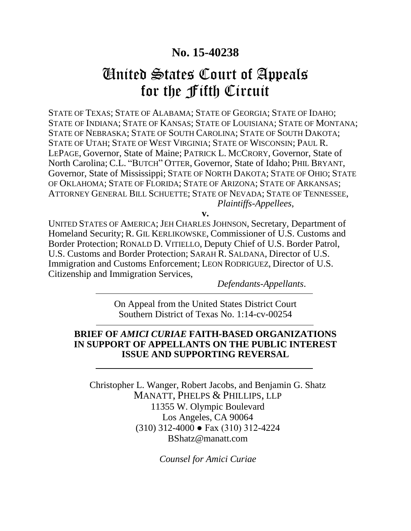# **No. 15-40238**

# United States Court of Appeals for the Fifth Circuit

STATE OF TEXAS; STATE OF ALABAMA; STATE OF GEORGIA; STATE OF IDAHO; STATE OF INDIANA; STATE OF KANSAS; STATE OF LOUISIANA; STATE OF MONTANA; STATE OF NEBRASKA; STATE OF SOUTH CAROLINA; STATE OF SOUTH DAKOTA; STATE OF UTAH; STATE OF WEST VIRGINIA; STATE OF WISCONSIN; PAUL R. LEPAGE, Governor, State of Maine; PATRICK L. MCCRORY, Governor, State of North Carolina; C.L. "BUTCH" OTTER, Governor, State of Idaho; PHIL BRYANT, Governor, State of Mississippi; STATE OF NORTH DAKOTA; STATE OF OHIO; STATE OF OKLAHOMA; STATE OF FLORIDA; STATE OF ARIZONA; STATE OF ARKANSAS; ATTORNEY GENERAL BILL SCHUETTE; STATE OF NEVADA; STATE OF TENNESSEE, *Plaintiffs-Appellees*,

**v.**

UNITED STATES OF AMERICA; JEH CHARLES JOHNSON, Secretary, Department of Homeland Security; R. GIL KERLIKOWSKE, Commissioner of U.S. Customs and Border Protection; RONALD D. VITIELLO, Deputy Chief of U.S. Border Patrol, U.S. Customs and Border Protection; SARAH R. SALDANA, Director of U.S. Immigration and Customs Enforcement; LEON RODRIGUEZ, Director of U.S. Citizenship and Immigration Services,

*Defendants-Appellants*.

On Appeal from the United States District Court Southern District of Texas No. 1:14-cv-00254

### **BRIEF OF** *AMICI CURIAE* **FAITH-BASED ORGANIZATIONS IN SUPPORT OF APPELLANTS ON THE PUBLIC INTEREST ISSUE AND SUPPORTING REVERSAL**

Christopher L. Wanger, Robert Jacobs, and Benjamin G. Shatz MANATT, PHELPS & PHILLIPS, LLP 11355 W. Olympic Boulevard Los Angeles, CA 90064 (310) 312-4000 ● Fax (310) 312-4224 BShatz@manatt.com

*Counsel for Amici Curiae*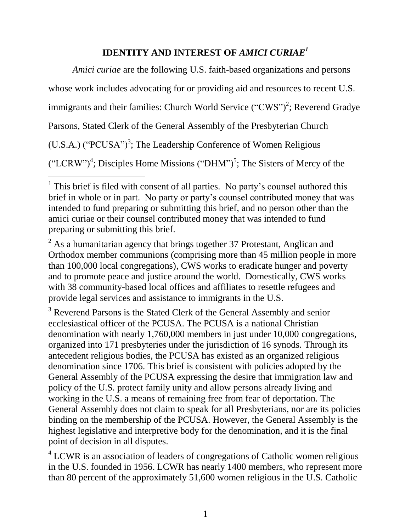# **IDENTITY AND INTEREST OF** *AMICI CURIAE<sup>1</sup>*

*Amici curiae* are the following U.S. faith-based organizations and persons whose work includes advocating for or providing aid and resources to recent U.S. immigrants and their families: Church World Service  $("CWS")^2$ ; Reverend Gradye Parsons, Stated Clerk of the General Assembly of the Presbyterian Church  $(U.S.A.)$  ("PCUSA")<sup>3</sup>; The Leadership Conference of Women Religious  $("LCRW")<sup>4</sup>$ ; Disciples Home Missions  $("DHM")<sup>5</sup>$ ; The Sisters of Mercy of the

 $2$  As a humanitarian agency that brings together 37 Protestant, Anglican and Orthodox member communions (comprising more than 45 million people in more than 100,000 local congregations), CWS works to eradicate hunger and poverty and to promote peace and justice around the world. Domestically, CWS works with 38 community-based local offices and affiliates to resettle refugees and provide legal services and assistance to immigrants in the U.S.

<sup>3</sup> Reverend Parsons is the Stated Clerk of the General Assembly and senior ecclesiastical officer of the PCUSA. The PCUSA is a national Christian denomination with nearly 1,760,000 members in just under 10,000 congregations, organized into 171 presbyteries under the jurisdiction of 16 synods. Through its antecedent religious bodies, the PCUSA has existed as an organized religious denomination since 1706. This brief is consistent with policies adopted by the General Assembly of the PCUSA expressing the desire that immigration law and policy of the U.S. protect family unity and allow persons already living and working in the U.S. a means of remaining free from fear of deportation. The General Assembly does not claim to speak for all Presbyterians, nor are its policies binding on the membership of the PCUSA. However, the General Assembly is the highest legislative and interpretive body for the denomination, and it is the final point of decision in all disputes.

 $4^4$  LCWR is an association of leaders of congregations of Catholic women religious in the U.S. founded in 1956. LCWR has nearly 1400 members, who represent more than 80 percent of the approximately 51,600 women religious in the U.S. Catholic

l <sup>1</sup> This brief is filed with consent of all parties. No party's counsel authored this brief in whole or in part. No party or party's counsel contributed money that was intended to fund preparing or submitting this brief, and no person other than the amici curiae or their counsel contributed money that was intended to fund preparing or submitting this brief.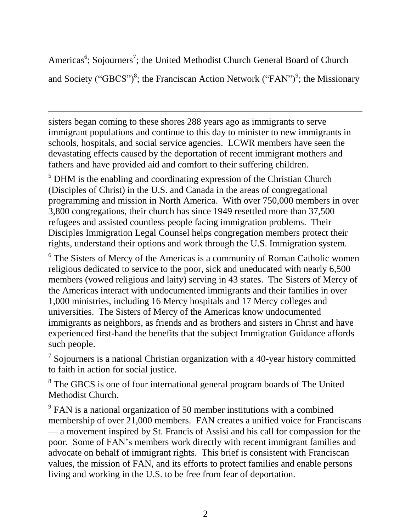Americas<sup>6</sup>; Sojourners<sup>7</sup>; the United Methodist Church General Board of Church and Society ("GBCS")<sup>8</sup>; the Franciscan Action Network ("FAN")<sup>9</sup>; the Missionary

sisters began coming to these shores 288 years ago as immigrants to serve immigrant populations and continue to this day to minister to new immigrants in schools, hospitals, and social service agencies. LCWR members have seen the devastating effects caused by the deportation of recent immigrant mothers and fathers and have provided aid and comfort to their suffering children.

 $\overline{a}$ 

<sup>5</sup> DHM is the enabling and coordinating expression of the Christian Church (Disciples of Christ) in the U.S. and Canada in the areas of congregational programming and mission in North America. With over 750,000 members in over 3,800 congregations, their church has since 1949 resettled more than 37,500 refugees and assisted countless people facing immigration problems. Their Disciples Immigration Legal Counsel helps congregation members protect their rights, understand their options and work through the U.S. Immigration system.

<sup>6</sup> The Sisters of Mercy of the Americas is a community of Roman Catholic women religious dedicated to service to the poor, sick and uneducated with nearly 6,500 members (vowed religious and laity) serving in 43 states. The Sisters of Mercy of the Americas interact with undocumented immigrants and their families in over 1,000 ministries, including 16 Mercy hospitals and 17 Mercy colleges and universities. The Sisters of Mercy of the Americas know undocumented immigrants as neighbors, as friends and as brothers and sisters in Christ and have experienced first-hand the benefits that the subject Immigration Guidance affords such people.

 $\frac{7}{1}$  Sojourners is a national Christian organization with a 40-year history committed to faith in action for social justice.

<sup>8</sup> The GBCS is one of four international general program boards of The United Methodist Church.

 $9^9$  FAN is a national organization of 50 member institutions with a combined membership of over 21,000 members. FAN creates a unified voice for Franciscans — a movement inspired by St. Francis of Assisi and his call for compassion for the poor. Some of FAN's members work directly with recent immigrant families and advocate on behalf of immigrant rights. This brief is consistent with Franciscan values, the mission of FAN, and its efforts to protect families and enable persons living and working in the U.S. to be free from fear of deportation.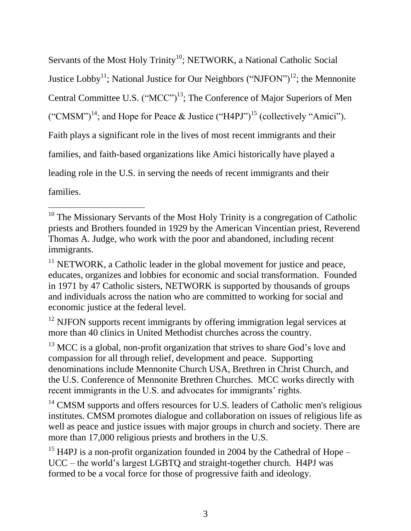Servants of the Most Holy Trinity<sup>10</sup>; NETWORK, a National Catholic Social Justice Lobby<sup>11</sup>; National Justice for Our Neighbors ("NJFON")<sup>12</sup>; the Mennonite Central Committee U.S. ("MCC")<sup>13</sup>; The Conference of Major Superiors of Men ("CMSM")<sup>14</sup>; and Hope for Peace & Justice ("H4PJ")<sup>15</sup> (collectively "Amici"). Faith plays a significant role in the lives of most recent immigrants and their families, and faith-based organizations like Amici historically have played a leading role in the U.S. in serving the needs of recent immigrants and their families.

<sup>12</sup> NJFON supports recent immigrants by offering immigration legal services at more than 40 clinics in United Methodist churches across the country.

 $13$  MCC is a global, non-profit organization that strives to share God's love and compassion for all through relief, development and peace. Supporting denominations include Mennonite Church USA, Brethren in Christ Church, and the U.S. Conference of Mennonite Brethren Churches. MCC works directly with recent immigrants in the U.S. and advocates for immigrants' rights.

<sup>14</sup> CMSM supports and offers resources for U.S. leaders of Catholic men's religious institutes. CMSM promotes dialogue and collaboration on issues of religious life as well as peace and justice issues with major groups in church and society. There are more than 17,000 religious priests and brothers in the U.S.

<sup>15</sup> H4PJ is a non-profit organization founded in 2004 by the Cathedral of Hope – UCC – the world's largest LGBTQ and straight-together church. H4PJ was formed to be a vocal force for those of progressive faith and ideology.

 $\overline{a}$  $10$  The Missionary Servants of the Most Holy Trinity is a congregation of Catholic priests and Brothers founded in 1929 by the American Vincentian priest, Reverend Thomas A. Judge, who work with the poor and abandoned, including recent immigrants.

 $11$  NETWORK, a Catholic leader in the global movement for justice and peace, educates, organizes and lobbies for economic and social transformation. Founded in 1971 by 47 Catholic sisters, NETWORK is supported by thousands of groups and individuals across the nation who are committed to working for social and economic justice at the federal level.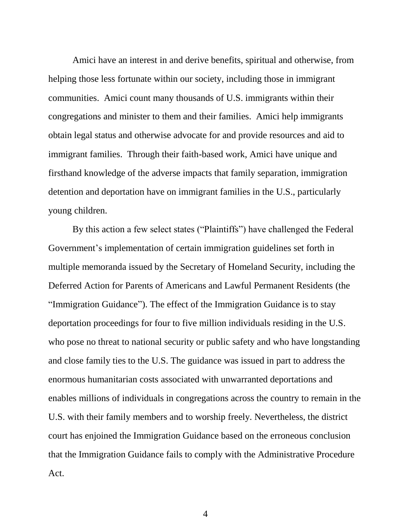Amici have an interest in and derive benefits, spiritual and otherwise, from helping those less fortunate within our society, including those in immigrant communities. Amici count many thousands of U.S. immigrants within their congregations and minister to them and their families. Amici help immigrants obtain legal status and otherwise advocate for and provide resources and aid to immigrant families. Through their faith-based work, Amici have unique and firsthand knowledge of the adverse impacts that family separation, immigration detention and deportation have on immigrant families in the U.S., particularly young children.

By this action a few select states ("Plaintiffs") have challenged the Federal Government's implementation of certain immigration guidelines set forth in multiple memoranda issued by the Secretary of Homeland Security, including the Deferred Action for Parents of Americans and Lawful Permanent Residents (the "Immigration Guidance"). The effect of the Immigration Guidance is to stay deportation proceedings for four to five million individuals residing in the U.S. who pose no threat to national security or public safety and who have longstanding and close family ties to the U.S. The guidance was issued in part to address the enormous humanitarian costs associated with unwarranted deportations and enables millions of individuals in congregations across the country to remain in the U.S. with their family members and to worship freely. Nevertheless, the district court has enjoined the Immigration Guidance based on the erroneous conclusion that the Immigration Guidance fails to comply with the Administrative Procedure Act.

4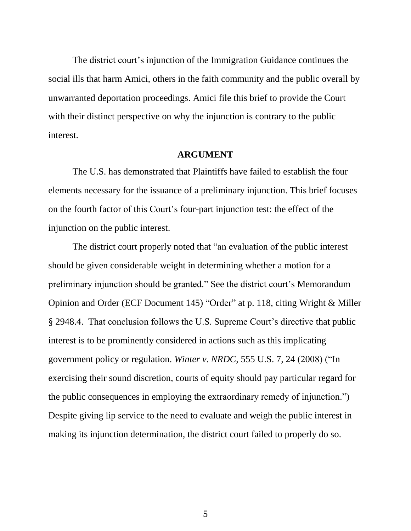The district court's injunction of the Immigration Guidance continues the social ills that harm Amici, others in the faith community and the public overall by unwarranted deportation proceedings. Amici file this brief to provide the Court with their distinct perspective on why the injunction is contrary to the public interest.

#### **ARGUMENT**

The U.S. has demonstrated that Plaintiffs have failed to establish the four elements necessary for the issuance of a preliminary injunction. This brief focuses on the fourth factor of this Court's four-part injunction test: the effect of the injunction on the public interest.

The district court properly noted that "an evaluation of the public interest should be given considerable weight in determining whether a motion for a preliminary injunction should be granted." See the district court's Memorandum Opinion and Order (ECF Document 145) "Order" at p. 118, citing Wright & Miller § 2948.4. That conclusion follows the U.S. Supreme Court's directive that public interest is to be prominently considered in actions such as this implicating government policy or regulation. *Winter v. NRDC*, 555 U.S. 7, 24 (2008) ("In exercising their sound discretion, courts of equity should pay particular regard for the public consequences in employing the extraordinary remedy of injunction.") Despite giving lip service to the need to evaluate and weigh the public interest in making its injunction determination, the district court failed to properly do so.

5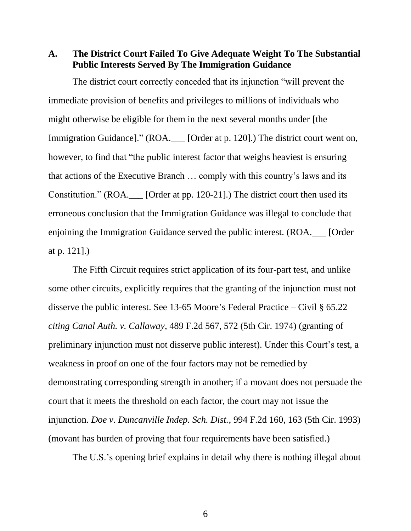**A. The District Court Failed To Give Adequate Weight To The Substantial Public Interests Served By The Immigration Guidance**

The district court correctly conceded that its injunction "will prevent the immediate provision of benefits and privileges to millions of individuals who might otherwise be eligible for them in the next several months under [the Immigration Guidance]." (ROA. [Order at p. 120].) The district court went on, however, to find that "the public interest factor that weighs heaviest is ensuring that actions of the Executive Branch … comply with this country's laws and its Constitution." (ROA.\_\_\_ [Order at pp. 120-21].) The district court then used its erroneous conclusion that the Immigration Guidance was illegal to conclude that enjoining the Immigration Guidance served the public interest. (ROA.\_\_\_ [Order at p. 121].)

The Fifth Circuit requires strict application of its four-part test, and unlike some other circuits, explicitly requires that the granting of the injunction must not disserve the public interest. See 13-65 Moore's Federal Practice – Civil § 65.22 *citing Canal Auth. v. Callaway*, 489 F.2d 567, 572 (5th Cir. 1974) (granting of preliminary injunction must not disserve public interest). Under this Court's test, a weakness in proof on one of the four factors may not be remedied by demonstrating corresponding strength in another; if a movant does not persuade the court that it meets the threshold on each factor, the court may not issue the injunction. *Doe v. Duncanville Indep. Sch. Dist.*, 994 F.2d 160, 163 (5th Cir. 1993) (movant has burden of proving that four requirements have been satisfied.)

The U.S.'s opening brief explains in detail why there is nothing illegal about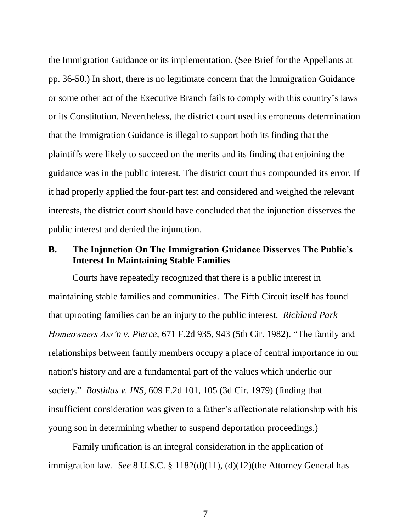the Immigration Guidance or its implementation. (See Brief for the Appellants at pp. 36-50.) In short, there is no legitimate concern that the Immigration Guidance or some other act of the Executive Branch fails to comply with this country's laws or its Constitution. Nevertheless, the district court used its erroneous determination that the Immigration Guidance is illegal to support both its finding that the plaintiffs were likely to succeed on the merits and its finding that enjoining the guidance was in the public interest. The district court thus compounded its error. If it had properly applied the four-part test and considered and weighed the relevant interests, the district court should have concluded that the injunction disserves the public interest and denied the injunction.

# **B. The Injunction On The Immigration Guidance Disserves The Public's Interest In Maintaining Stable Families**

Courts have repeatedly recognized that there is a public interest in maintaining stable families and communities. The Fifth Circuit itself has found that uprooting families can be an injury to the public interest. *Richland Park Homeowners Ass'n v. Pierce,* 671 F.2d 935, 943 (5th Cir. 1982). "The family and relationships between family members occupy a place of central importance in our nation's history and are a fundamental part of the values which underlie our society." *Bastidas v. INS*, 609 F.2d 101, 105 (3d Cir. 1979) (finding that insufficient consideration was given to a father's affectionate relationship with his young son in determining whether to suspend deportation proceedings.)

Family unification is an integral consideration in the application of immigration law. *See* 8 U.S.C. § 1182(d)(11), (d)(12)(the Attorney General has

7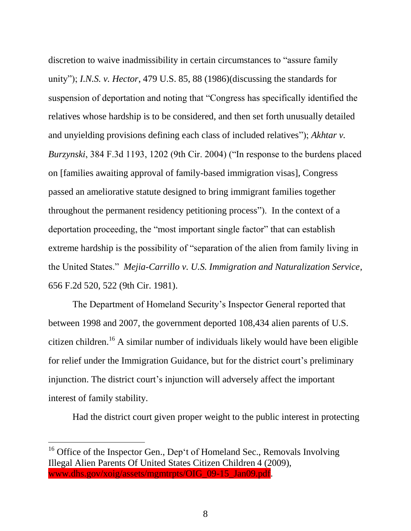discretion to waive inadmissibility in certain circumstances to "assure family unity"); *I.N.S. v. Hector*, 479 U.S. 85, 88 (1986)(discussing the standards for suspension of deportation and noting that "Congress has specifically identified the relatives whose hardship is to be considered, and then set forth unusually detailed and unyielding provisions defining each class of included relatives"); *Akhtar v. Burzynski*, 384 F.3d 1193, 1202 (9th Cir. 2004) ("In response to the burdens placed on [families awaiting approval of family-based immigration visas], Congress passed an ameliorative statute designed to bring immigrant families together throughout the permanent residency petitioning process"). In the context of a deportation proceeding, the "most important single factor" that can establish extreme hardship is the possibility of "separation of the alien from family living in the United States." *Mejia-Carrillo v. U.S. Immigration and Naturalization Service*, 656 F.2d 520, 522 (9th Cir. 1981).

The Department of Homeland Security's Inspector General reported that between 1998 and 2007, the government deported 108,434 alien parents of U.S. citizen children.<sup>16</sup> A similar number of individuals likely would have been eligible for relief under the Immigration Guidance, but for the district court's preliminary injunction. The district court's injunction will adversely affect the important interest of family stability.

Had the district court given proper weight to the public interest in protecting

 $16$  Office of the Inspector Gen., Dep't of Homeland Sec., Removals Involving Illegal Alien Parents Of United States Citizen Children 4 (2009), www.dhs.gov/xoig/assets/mgmtrpts/OIG\_09-15\_Jan09.pdf.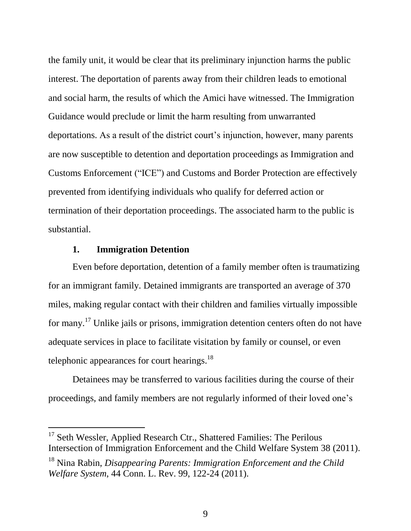the family unit, it would be clear that its preliminary injunction harms the public interest. The deportation of parents away from their children leads to emotional and social harm, the results of which the Amici have witnessed. The Immigration Guidance would preclude or limit the harm resulting from unwarranted deportations. As a result of the district court's injunction, however, many parents are now susceptible to detention and deportation proceedings as Immigration and Customs Enforcement ("ICE") and Customs and Border Protection are effectively prevented from identifying individuals who qualify for deferred action or termination of their deportation proceedings. The associated harm to the public is substantial.

### **1. Immigration Detention**

l

Even before deportation, detention of a family member often is traumatizing for an immigrant family. Detained immigrants are transported an average of 370 miles, making regular contact with their children and families virtually impossible for many.<sup>17</sup> Unlike jails or prisons, immigration detention centers often do not have adequate services in place to facilitate visitation by family or counsel, or even telephonic appearances for court hearings. $^{18}$ 

Detainees may be transferred to various facilities during the course of their proceedings, and family members are not regularly informed of their loved one's

<sup>&</sup>lt;sup>17</sup> Seth Wessler, Applied Research Ctr., Shattered Families: The Perilous Intersection of Immigration Enforcement and the Child Welfare System 38 (2011).

<sup>18</sup> Nina Rabin, *Disappearing Parents: Immigration Enforcement and the Child Welfare System*, 44 Conn. L. Rev. 99, 122-24 (2011).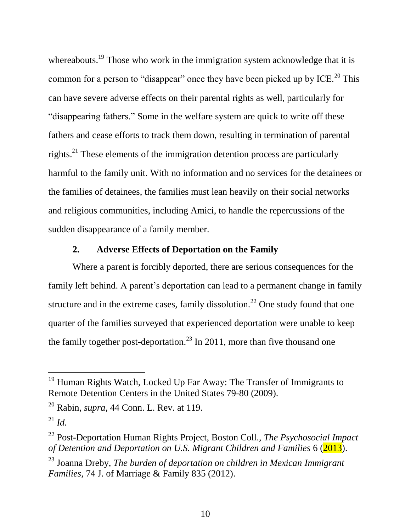whereabouts.<sup>19</sup> Those who work in the immigration system acknowledge that it is common for a person to "disappear" once they have been picked up by ICE.<sup>20</sup> This can have severe adverse effects on their parental rights as well, particularly for "disappearing fathers." Some in the welfare system are quick to write off these fathers and cease efforts to track them down, resulting in termination of parental rights.<sup>21</sup> These elements of the immigration detention process are particularly harmful to the family unit. With no information and no services for the detainees or the families of detainees, the families must lean heavily on their social networks and religious communities, including Amici, to handle the repercussions of the sudden disappearance of a family member.

# **2. Adverse Effects of Deportation on the Family**

Where a parent is forcibly deported, there are serious consequences for the family left behind. A parent's deportation can lead to a permanent change in family structure and in the extreme cases, family dissolution.<sup>22</sup> One study found that one quarter of the families surveyed that experienced deportation were unable to keep the family together post-deportation.<sup>23</sup> In 2011, more than five thousand one

l

<sup>&</sup>lt;sup>19</sup> Human Rights Watch, Locked Up Far Away: The Transfer of Immigrants to Remote Detention Centers in the United States 79-80 (2009).

<sup>20</sup> Rabin, *supra*, 44 Conn. L. Rev. at 119.

 $^{21}$  *Id.* 

<sup>22</sup> Post-Deportation Human Rights Project, Boston Coll., *The Psychosocial Impact of Detention and Deportation on U.S. Migrant Children and Families* 6 (2013).

<sup>23</sup> Joanna Dreby, *The burden of deportation on children in Mexican Immigrant Families,* 74 J. of Marriage & Family 835 (2012).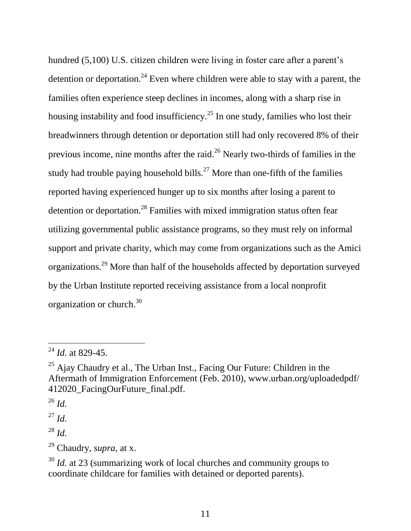hundred (5,100) U.S. citizen children were living in foster care after a parent's detention or deportation.<sup>24</sup> Even where children were able to stay with a parent, the families often experience steep declines in incomes, along with a sharp rise in housing instability and food insufficiency.<sup>25</sup> In one study, families who lost their breadwinners through detention or deportation still had only recovered 8% of their previous income, nine months after the raid.<sup>26</sup> Nearly two-thirds of families in the study had trouble paying household bills.<sup>27</sup> More than one-fifth of the families reported having experienced hunger up to six months after losing a parent to detention or deportation.<sup>28</sup> Families with mixed immigration status often fear utilizing governmental public assistance programs, so they must rely on informal support and private charity, which may come from organizations such as the Amici organizations.<sup>29</sup> More than half of the households affected by deportation surveyed by the Urban Institute reported receiving assistance from a local nonprofit organization or church. 30

<sup>24</sup> *Id.* at 829-45.

 $^{25}$  Ajay Chaudry et al., The Urban Inst., Facing Our Future: Children in the Aftermath of Immigration Enforcement (Feb. 2010), www.urban.org/uploadedpdf/ 412020 FacingOurFuture final.pdf.

<sup>26</sup> *Id.*

<sup>27</sup> *Id.*

<sup>28</sup> *Id.*

<sup>29</sup> Chaudry, *supra*, at x.

<sup>&</sup>lt;sup>30</sup> *Id.* at 23 (summarizing work of local churches and community groups to coordinate childcare for families with detained or deported parents).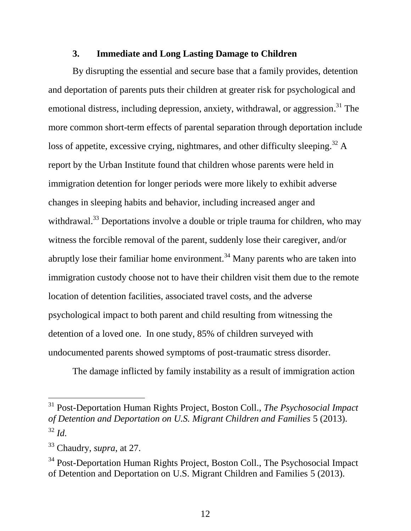#### **3. Immediate and Long Lasting Damage to Children**

By disrupting the essential and secure base that a family provides, detention and deportation of parents puts their children at greater risk for psychological and emotional distress, including depression, anxiety, withdrawal, or aggression.<sup>31</sup> The more common short-term effects of parental separation through deportation include loss of appetite, excessive crying, nightmares, and other difficulty sleeping.<sup>32</sup> A report by the Urban Institute found that children whose parents were held in immigration detention for longer periods were more likely to exhibit adverse changes in sleeping habits and behavior, including increased anger and withdrawal.<sup>33</sup> Deportations involve a double or triple trauma for children, who may witness the forcible removal of the parent, suddenly lose their caregiver, and/or abruptly lose their familiar home environment.<sup>34</sup> Many parents who are taken into immigration custody choose not to have their children visit them due to the remote location of detention facilities, associated travel costs, and the adverse psychological impact to both parent and child resulting from witnessing the detention of a loved one. In one study, 85% of children surveyed with undocumented parents showed symptoms of post-traumatic stress disorder.

The damage inflicted by family instability as a result of immigration action

<sup>31</sup> Post-Deportation Human Rights Project, Boston Coll., *The Psychosocial Impact of Detention and Deportation on U.S. Migrant Children and Families* 5 (2013). <sup>32</sup> *Id.*

<sup>33</sup> Chaudry, *supra*, at 27.

<sup>&</sup>lt;sup>34</sup> Post-Deportation Human Rights Project, Boston Coll., The Psychosocial Impact of Detention and Deportation on U.S. Migrant Children and Families 5 (2013).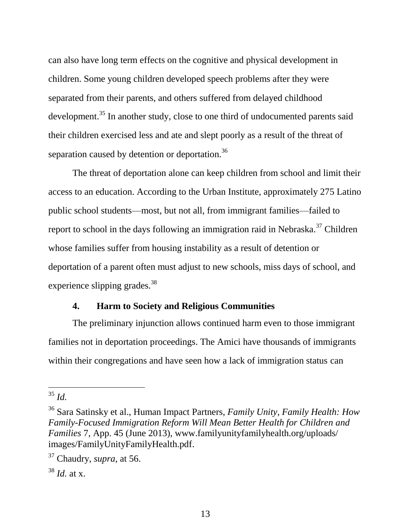can also have long term effects on the cognitive and physical development in children. Some young children developed speech problems after they were separated from their parents, and others suffered from delayed childhood development.<sup>35</sup> In another study, close to one third of undocumented parents said their children exercised less and ate and slept poorly as a result of the threat of separation caused by detention or deportation.<sup>36</sup>

The threat of deportation alone can keep children from school and limit their access to an education. According to the Urban Institute, approximately 275 Latino public school students—most, but not all, from immigrant families—failed to report to school in the days following an immigration raid in Nebraska.<sup>37</sup> Children whose families suffer from housing instability as a result of detention or deportation of a parent often must adjust to new schools, miss days of school, and experience slipping grades.<sup>38</sup>

## **4. Harm to Society and Religious Communities**

The preliminary injunction allows continued harm even to those immigrant families not in deportation proceedings. The Amici have thousands of immigrants within their congregations and have seen how a lack of immigration status can

<sup>35</sup> *Id.*

<sup>36</sup> Sara Satinsky et al., Human Impact Partners, *Family Unity, Family Health: How Family-Focused Immigration Reform Will Mean Better Health for Children and Families* 7, App. 45 (June 2013), www.familyunityfamilyhealth.org/uploads/ images/FamilyUnityFamilyHealth.pdf.

<sup>37</sup> Chaudry, *supra*, at 56.

<sup>38</sup> *Id.* at x.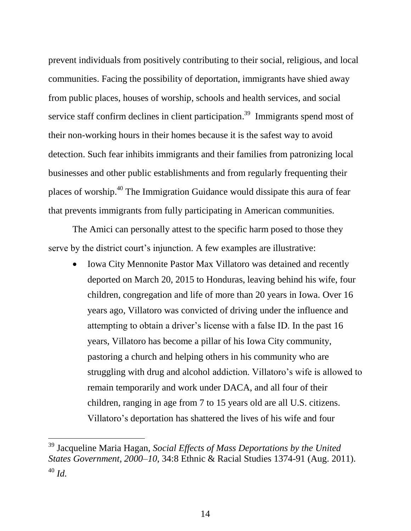prevent individuals from positively contributing to their social, religious, and local communities. Facing the possibility of deportation, immigrants have shied away from public places, houses of worship, schools and health services, and social service staff confirm declines in client participation.<sup>39</sup> Immigrants spend most of their non-working hours in their homes because it is the safest way to avoid detection. Such fear inhibits immigrants and their families from patronizing local businesses and other public establishments and from regularly frequenting their places of worship.<sup>40</sup> The Immigration Guidance would dissipate this aura of fear that prevents immigrants from fully participating in American communities.

The Amici can personally attest to the specific harm posed to those they serve by the district court's injunction. A few examples are illustrative:

 Iowa City Mennonite Pastor Max Villatoro was detained and recently deported on March 20, 2015 to Honduras, leaving behind his wife, four children, congregation and life of more than 20 years in Iowa. Over 16 years ago, Villatoro was convicted of driving under the influence and attempting to obtain a driver's license with a false ID. In the past 16 years, Villatoro has become a pillar of his Iowa City community, pastoring a church and helping others in his community who are struggling with drug and alcohol addiction. Villatoro's wife is allowed to remain temporarily and work under DACA, and all four of their children, ranging in age from 7 to 15 years old are all U.S. citizens. Villatoro's deportation has shattered the lives of his wife and four

<sup>39</sup> Jacqueline Maria Hagan, *Social Effects of Mass Deportations by the United States Government, 2000–10*, 34:8 Ethnic & Racial Studies 1374-91 (Aug. 2011). <sup>40</sup> *Id.*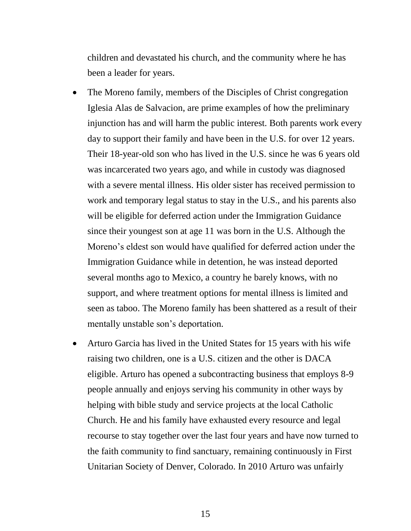children and devastated his church, and the community where he has been a leader for years.

- The Moreno family, members of the Disciples of Christ congregation Iglesia Alas de Salvacion, are prime examples of how the preliminary injunction has and will harm the public interest. Both parents work every day to support their family and have been in the U.S. for over 12 years. Their 18-year-old son who has lived in the U.S. since he was 6 years old was incarcerated two years ago, and while in custody was diagnosed with a severe mental illness. His older sister has received permission to work and temporary legal status to stay in the U.S., and his parents also will be eligible for deferred action under the Immigration Guidance since their youngest son at age 11 was born in the U.S. Although the Moreno's eldest son would have qualified for deferred action under the Immigration Guidance while in detention, he was instead deported several months ago to Mexico, a country he barely knows, with no support, and where treatment options for mental illness is limited and seen as taboo. The Moreno family has been shattered as a result of their mentally unstable son's deportation*.*
- Arturo Garcia has lived in the United States for 15 years with his wife raising two children, one is a U.S. citizen and the other is DACA eligible. Arturo has opened a subcontracting business that employs 8-9 people annually and enjoys serving his community in other ways by helping with bible study and service projects at the local Catholic Church. He and his family have exhausted every resource and legal recourse to stay together over the last four years and have now turned to the faith community to find sanctuary, remaining continuously in First Unitarian Society of Denver, Colorado. In 2010 Arturo was unfairly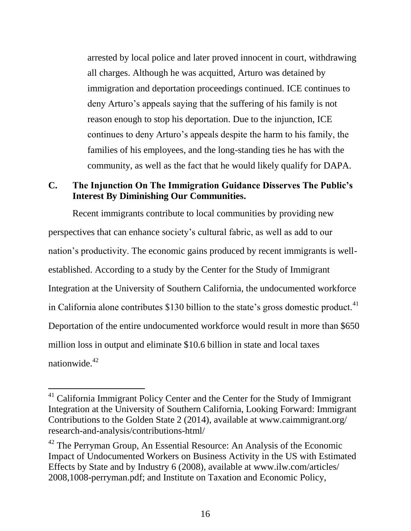arrested by local police and later proved innocent in court, withdrawing all charges. Although he was acquitted, Arturo was detained by immigration and deportation proceedings continued. ICE continues to deny Arturo's appeals saying that the suffering of his family is not reason enough to stop his deportation. Due to the injunction, ICE continues to deny Arturo's appeals despite the harm to his family, the families of his employees, and the long-standing ties he has with the community, as well as the fact that he would likely qualify for DAPA.

# **C. The Injunction On The Immigration Guidance Disserves The Public's Interest By Diminishing Our Communities.**

Recent immigrants contribute to local communities by providing new perspectives that can enhance society's cultural fabric, as well as add to our nation's productivity. The economic gains produced by recent immigrants is wellestablished. According to a study by the Center for the Study of Immigrant Integration at the University of Southern California, the undocumented workforce in California alone contributes  $$130$  billion to the state's gross domestic product.<sup>41</sup> Deportation of the entire undocumented workforce would result in more than \$650 million loss in output and eliminate \$10.6 billion in state and local taxes nationwide $42$ 

l

<sup>&</sup>lt;sup>41</sup> California Immigrant Policy Center and the Center for the Study of Immigrant Integration at the University of Southern California, Looking Forward: Immigrant Contributions to the Golden State 2 (2014), available at www.caimmigrant.org/ research-and-analysis/contributions-html/

 $42$  The Perryman Group, An Essential Resource: An Analysis of the Economic Impact of Undocumented Workers on Business Activity in the US with Estimated Effects by State and by Industry 6 (2008), available at www.ilw.com/articles/ 2008,1008-perryman.pdf; and Institute on Taxation and Economic Policy,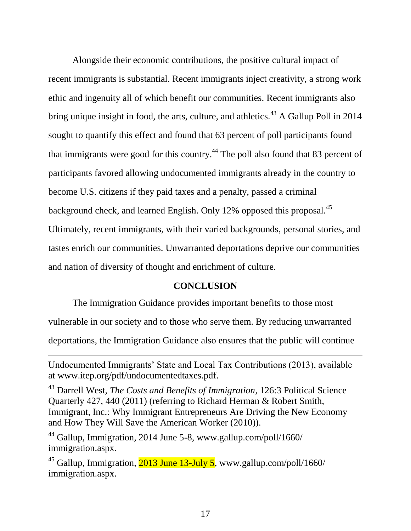Alongside their economic contributions, the positive cultural impact of recent immigrants is substantial. Recent immigrants inject creativity, a strong work ethic and ingenuity all of which benefit our communities. Recent immigrants also bring unique insight in food, the arts, culture, and athletics.<sup>43</sup> A Gallup Poll in 2014 sought to quantify this effect and found that 63 percent of poll participants found that immigrants were good for this country.<sup>44</sup> The poll also found that 83 percent of participants favored allowing undocumented immigrants already in the country to become U.S. citizens if they paid taxes and a penalty, passed a criminal background check, and learned English. Only 12% opposed this proposal.<sup>45</sup> Ultimately, recent immigrants, with their varied backgrounds, personal stories, and tastes enrich our communities. Unwarranted deportations deprive our communities and nation of diversity of thought and enrichment of culture.

#### **CONCLUSION**

The Immigration Guidance provides important benefits to those most

vulnerable in our society and to those who serve them. By reducing unwarranted

deportations, the Immigration Guidance also ensures that the public will continue

 $44$  Gallup, Immigration, 2014 June 5-8, www.gallup.com/poll/1660/ immigration.aspx.

 $\overline{a}$ 

<sup>45</sup> Gallup, Immigration,  $\frac{2013 \text{ June } 13 \text{-July } 5}{2013 \text{ June } 13 \text{-July } 5}$ , www.gallup.com/poll/1660/ immigration.aspx.

Undocumented Immigrants' State and Local Tax Contributions (2013), available at www.itep.org/pdf/undocumentedtaxes.pdf.

<sup>43</sup> Darrell West, *The Costs and Benefits of Immigration*, 126:3 Political Science Quarterly 427, 440 (2011) (referring to Richard Herman & Robert Smith, Immigrant, Inc.: Why Immigrant Entrepreneurs Are Driving the New Economy and How They Will Save the American Worker (2010)).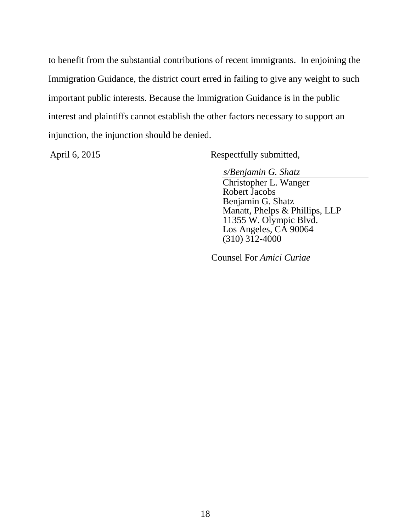to benefit from the substantial contributions of recent immigrants. In enjoining the Immigration Guidance, the district court erred in failing to give any weight to such important public interests. Because the Immigration Guidance is in the public interest and plaintiffs cannot establish the other factors necessary to support an injunction, the injunction should be denied.

April 6, 2015 Respectfully submitted,

*s/Benjamin G. Shatz* Christopher L. Wanger Robert Jacobs Benjamin G. Shatz Manatt, Phelps & Phillips, LLP 11355 W. Olympic Blvd. Los Angeles, CA 90064  $(310)$   $3\overline{1}2 - 4000$ 

Counsel For *Amici Curiae*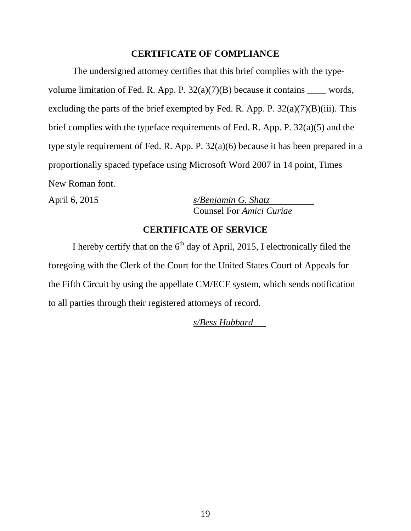### **CERTIFICATE OF COMPLIANCE**

The undersigned attorney certifies that this brief complies with the typevolume limitation of Fed. R. App. P.  $32(a)(7)(B)$  because it contains \_\_\_\_\_ words, excluding the parts of the brief exempted by Fed. R. App. P.  $32(a)(7)(B)(iii)$ . This brief complies with the typeface requirements of Fed. R. App. P. 32(a)(5) and the type style requirement of Fed. R. App. P. 32(a)(6) because it has been prepared in a proportionally spaced typeface using Microsoft Word 2007 in 14 point, Times New Roman font.

April 6, 2015 *s/Benjamin G. Shatz* Counsel For *Amici Curiae*

## **CERTIFICATE OF SERVICE**

I hereby certify that on the  $6<sup>th</sup>$  day of April, 2015, I electronically filed the foregoing with the Clerk of the Court for the United States Court of Appeals for the Fifth Circuit by using the appellate CM/ECF system, which sends notification to all parties through their registered attorneys of record.

*s/Bess Hubbard*